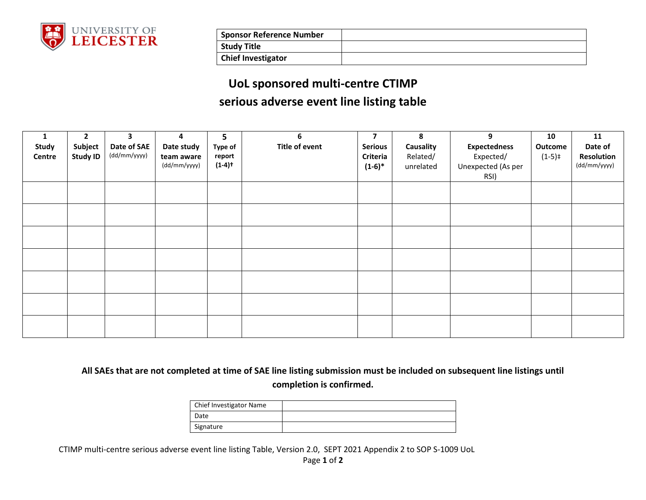

| <b>Sponsor Reference Number</b> |  |
|---------------------------------|--|
| <b>Study Title</b>              |  |
| <b>Chief Investigator</b>       |  |

## **UoL sponsored multi-centre CTIMP serious adverse event line listing table**

| 1<br>Study<br>Centre | $\mathbf{2}$<br>Subject<br><b>Study ID</b> | 3<br>Date of SAE<br>(dd/mm/yyyy) | 4<br>Date study<br>team aware<br>(dd/mm/yyyy) | 5<br><b>Type of</b><br>report<br>$(1-4)$ <sup>+</sup> | 6<br><b>Title of event</b> | $\overline{7}$<br><b>Serious</b><br>Criteria<br>$(1-6)*$ | 8<br>Causality<br>Related/<br>unrelated | 9<br><b>Expectedness</b><br>Expected/<br>Unexpected (As per<br>RSI) | 10<br>Outcome<br>$(1-5)$ ‡ | 11<br>Date of<br>Resolution<br>(dd/mm/yyyy) |
|----------------------|--------------------------------------------|----------------------------------|-----------------------------------------------|-------------------------------------------------------|----------------------------|----------------------------------------------------------|-----------------------------------------|---------------------------------------------------------------------|----------------------------|---------------------------------------------|
|                      |                                            |                                  |                                               |                                                       |                            |                                                          |                                         |                                                                     |                            |                                             |
|                      |                                            |                                  |                                               |                                                       |                            |                                                          |                                         |                                                                     |                            |                                             |
|                      |                                            |                                  |                                               |                                                       |                            |                                                          |                                         |                                                                     |                            |                                             |
|                      |                                            |                                  |                                               |                                                       |                            |                                                          |                                         |                                                                     |                            |                                             |
|                      |                                            |                                  |                                               |                                                       |                            |                                                          |                                         |                                                                     |                            |                                             |
|                      |                                            |                                  |                                               |                                                       |                            |                                                          |                                         |                                                                     |                            |                                             |
|                      |                                            |                                  |                                               |                                                       |                            |                                                          |                                         |                                                                     |                            |                                             |

**All SAEs that are not completed at time of SAE line listing submission must be included on subsequent line listings until completion is confirmed.**

| <b>Chief Investigator Name</b> |  |
|--------------------------------|--|
| Date                           |  |
| Signature                      |  |

CTIMP multi-centre serious adverse event line listing Table, Version 2.0, SEPT 2021 Appendix 2 to SOP S-1009 UoL